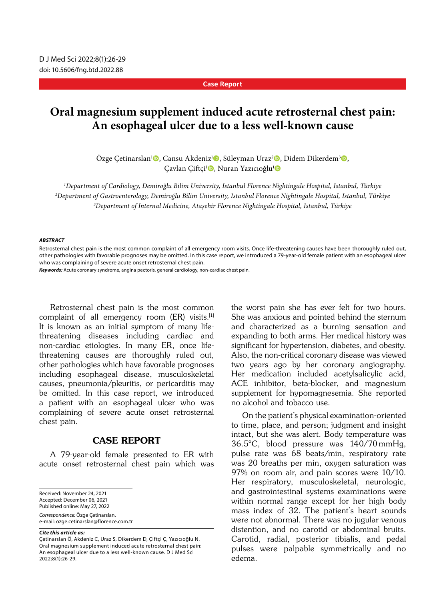### **Case Report**

# **Oral magnesium supplement induced acute retrosternal chest pain: An esophageal ulcer due to a less well-known cause**

Özge Çetinarslan<sup>ı</sup>®, Cansu Akdeniz<sup>ı</sup>®, Süleyman Uraz<sup>2</sup>®, Didem Dikerdem<sup>3</sup>®, Çavlan Çiftçi<sup>ı</sup>⊕, Nuran Yazıcıoğlu<sup>ı</sup>⊕

*1 Department of Cardiology, Demiroğlu Bilim University, Istanbul Florence Nightingale Hospital, Istanbul, Türkiye 2 Department of Gastroenterology, Demiroğlu Bilim University, Istanbul Florence Nightingale Hospital, Istanbul, Türkiye 3 Department of Internal Medicine, Ataşehir Florence Nightingale Hospital, Istanbul, Türkiye*

#### *ABSTRACT*

Retrosternal chest pain is the most common complaint of all emergency room visits. Once life-threatening causes have been thoroughly ruled out, other pathologies with favorable prognoses may be omitted. In this case report, we introduced a 79-year-old female patient with an esophageal ulcer who was complaining of severe acute onset retrosternal chest pain.

*Keywords:* Acute coronary syndrome, angina pectoris, general cardiology, non-cardiac chest pain.

Retrosternal chest pain is the most common complaint of all emergency room (ER) visits.<sup>[1]</sup> It is known as an initial symptom of many lifethreatening diseases including cardiac and non-cardiac etiologies. In many ER, once lifethreatening causes are thoroughly ruled out, other pathologies which have favorable prognoses including esophageal disease, musculoskeletal causes, pneumonia/pleuritis, or pericarditis may be omitted. In this case report, we introduced a patient with an esophageal ulcer who was complaining of severe acute onset retrosternal chest pain.

## CASE REPORT

A 79-year-old female presented to ER with acute onset retrosternal chest pain which was

Received: November 24, 2021 Accepted: December 06, 2021

Published online: May 27, 2022

*Correspondence:* Özge Çetinarslan. e-mail: ozge.cetinarslan@florence.com.tr

*Cite this article as:*

Çetinarslan Ö, Akdeniz C, Uraz S, Dikerdem D, Çiftçi Ç, Yazıcıoğlu N. Oral magnesium supplement induced acute retrosternal chest pain: An esophageal ulcer due to a less well-known cause. D J Med Sci 2022;8(1):26-29.

the worst pain she has ever felt for two hours. She was anxious and pointed behind the sternum and characterized as a burning sensation and expanding to both arms. Her medical history was significant for hypertension, diabetes, and obesity. Also, the non-critical coronary disease was viewed two years ago by her coronary angiography. Her medication included acetylsalicylic acid, ACE inhibitor, beta-blocker, and magnesium supplement for hypomagnesemia. She reported no alcohol and tobacco use.

On the patient's physical examination-oriented to time, place, and person; judgment and insight intact, but she was alert. Body temperature was 36.5°C, blood pressure was 140/70 mmHg, pulse rate was 68 beats/min, respiratory rate was 20 breaths per min, oxygen saturation was 97% on room air, and pain scores were 10/10. Her respiratory, musculoskeletal, neurologic, and gastrointestinal systems examinations were within normal range except for her high body mass index of 32. The patient's heart sounds were not abnormal. There was no jugular venous distention, and no carotid or abdominal bruits. Carotid, radial, posterior tibialis, and pedal pulses were palpable symmetrically and no edema.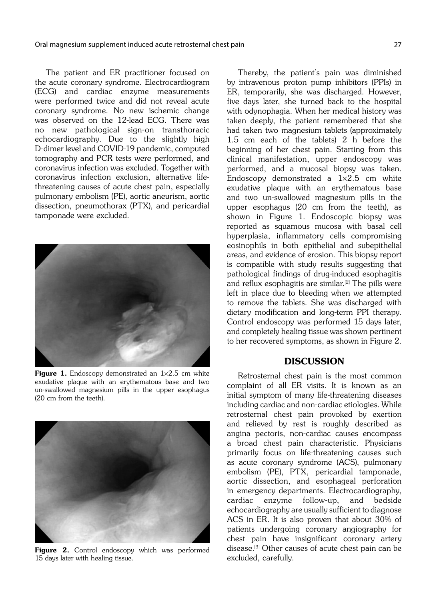The patient and ER practitioner focused on the acute coronary syndrome. Electrocardiogram (ECG) and cardiac enzyme measurements were performed twice and did not reveal acute coronary syndrome. No new ischemic change was observed on the 12-lead ECG. There was no new pathological sign-on transthoracic echocardiography. Due to the slightly high D-dimer level and COVID-19 pandemic, computed tomography and PCR tests were performed, and coronavirus infection was excluded. Together with coronavirus infection exclusion, alternative lifethreatening causes of acute chest pain, especially pulmonary embolism (PE), aortic aneurism, aortic dissection, pneumothorax (PTX), and pericardial tamponade were excluded.



**Figure 1.** Endoscopy demonstrated an  $1\times2.5$  cm white exudative plaque with an erythematous base and two un-swallowed magnesium pills in the upper esophagus (20 cm from the teeth).



Figure 2. Control endoscopy which was performed 15 days later with healing tissue.

Thereby, the patient's pain was diminished by intravenous proton pump inhibitors (PPIs) in ER, temporarily, she was discharged. However, five days later, she turned back to the hospital with odynophagia. When her medical history was taken deeply, the patient remembered that she had taken two magnesium tablets (approximately 1.5 cm each of the tablets) 2 h before the beginning of her chest pain. Starting from this clinical manifestation, upper endoscopy was performed, and a mucosal biopsy was taken. Endoscopy demonstrated a  $1\times2.5$  cm white exudative plaque with an erythematous base and two un-swallowed magnesium pills in the upper esophagus (20 cm from the teeth), as shown in Figure 1. Endoscopic biopsy was reported as squamous mucosa with basal cell hyperplasia, inflammatory cells compromising eosinophils in both epithelial and subepithelial areas, and evidence of erosion. This biopsy report is compatible with study results suggesting that pathological findings of drug-induced esophagitis and reflux esophagitis are similar.<sup>[2]</sup> The pills were left in place due to bleeding when we attempted to remove the tablets. She was discharged with dietary modification and long-term PPI therapy. Control endoscopy was performed 15 days later, and completely healing tissue was shown pertinent to her recovered symptoms, as shown in Figure 2.

# DISCUSSION

Retrosternal chest pain is the most common complaint of all ER visits. It is known as an initial symptom of many life-threatening diseases including cardiac and non-cardiac etiologies. While retrosternal chest pain provoked by exertion and relieved by rest is roughly described as angina pectoris, non-cardiac causes encompass a broad chest pain characteristic. Physicians primarily focus on life-threatening causes such as acute coronary syndrome (ACS), pulmonary embolism (PE), PTX, pericardial tamponade, aortic dissection, and esophageal perforation in emergency departments. Electrocardiography, cardiac enzyme follow-up, and bedside echocardiography are usually sufficient to diagnose ACS in ER. It is also proven that about 30% of patients undergoing coronary angiography for chest pain have insignificant coronary artery disease.<sup>[3]</sup> Other causes of acute chest pain can be excluded, carefully.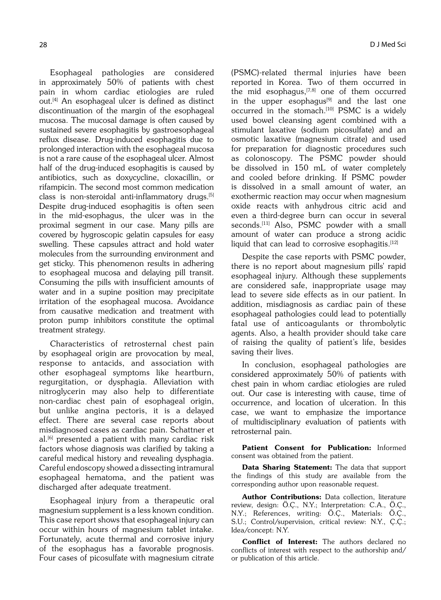Esophageal pathologies are considered in approximately 50% of patients with chest pain in whom cardiac etiologies are ruled out.[4] An esophageal ulcer is defined as distinct discontinuation of the margin of the esophageal mucosa. The mucosal damage is often caused by sustained severe esophagitis by gastroesophageal reflux disease. Drug-induced esophagitis due to prolonged interaction with the esophageal mucosa is not a rare cause of the esophageal ulcer. Almost half of the drug-induced esophagitis is caused by antibiotics, such as doxycycline, cloxacillin, or rifampicin. The second most common medication class is non-steroidal anti-inflammatory drugs.[5] Despite drug-induced esophagitis is often seen in the mid-esophagus, the ulcer was in the proximal segment in our case. Many pills are covered by hygroscopic gelatin capsules for easy swelling. These capsules attract and hold water molecules from the surrounding environment and get sticky. This phenomenon results in adhering to esophageal mucosa and delaying pill transit. Consuming the pills with insufficient amounts of water and in a supine position may precipitate irritation of the esophageal mucosa. Avoidance from causative medication and treatment with proton pump inhibitors constitute the optimal treatment strategy.

Characteristics of retrosternal chest pain by esophageal origin are provocation by meal, response to antacids, and association with other esophageal symptoms like heartburn, regurgitation, or dysphagia. Alleviation with nitroglycerin may also help to differentiate non-cardiac chest pain of esophageal origin, but unlike angina pectoris, it is a delayed effect. There are several case reports about misdiagnosed cases as cardiac pain. Schattner et al.[6] presented a patient with many cardiac risk factors whose diagnosis was clarified by taking a careful medical history and revealing dysphagia. Careful endoscopy showed a dissecting intramural esophageal hematoma, and the patient was discharged after adequate treatment.

Esophageal injury from a therapeutic oral magnesium supplement is a less known condition. This case report shows that esophageal injury can occur within hours of magnesium tablet intake. Fortunately, acute thermal and corrosive injury of the esophagus has a favorable prognosis. Four cases of picosulfate with magnesium citrate

(PSMC)-related thermal injuries have been reported in Korea. Two of them occurred in the mid esophagus,[7,8] one of them occurred in the upper esophagus $[9]$  and the last one occurred in the stomach.<sup>[10]</sup> PSMC is a widely used bowel cleansing agent combined with a stimulant laxative (sodium picosulfate) and an osmotic laxative (magnesium citrate) and used for preparation for diagnostic procedures such as colonoscopy. The PSMC powder should be dissolved in 150 mL of water completely and cooled before drinking. If PSMC powder is dissolved in a small amount of water, an exothermic reaction may occur when magnesium oxide reacts with anhydrous citric acid and even a third-degree burn can occur in several seconds.<sup>[11]</sup> Also, PSMC powder with a small amount of water can produce a strong acidic liquid that can lead to corrosive esophagitis.<sup>[12]</sup>

Despite the case reports with PSMC powder, there is no report about magnesium pills' rapid esophageal injury. Although these supplements are considered safe, inappropriate usage may lead to severe side effects as in our patient. In addition, misdiagnosis as cardiac pain of these esophageal pathologies could lead to potentially fatal use of anticoagulants or thrombolytic agents. Also, a health provider should take care of raising the quality of patient's life, besides saving their lives.

In conclusion, esophageal pathologies are considered approximately 50% of patients with chest pain in whom cardiac etiologies are ruled out. Our case is interesting with cause, time of occurrence, and location of ulceration. In this case, we want to emphasize the importance of multidisciplinary evaluation of patients with retrosternal pain.

Patient Consent for Publication: Informed consent was obtained from the patient.

Data Sharing Statement: The data that support the findings of this study are available from the corresponding author upon reasonable request.

Author Contributions: Data collection, literature review, design: Ö.Ç., N.Y.; Interpretation: C.A., Ö.Ç., N.Y.; References, writing: Ö.Ç., Materials: Ö.Ç., S.U.; Control/supervision, critical review: N.Y., Ç.Ç.; Idea/concept: N.Y.

**Conflict of Interest:** The authors declared no conflicts of interest with respect to the authorship and/ or publication of this article.